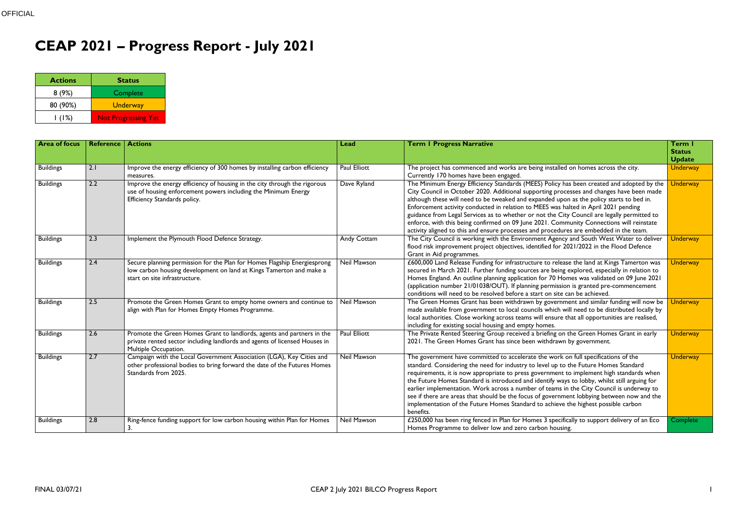## **CEAP 2021 – Progress Report - July 2021**

| <b>Actions</b> | <b>Status</b>              |
|----------------|----------------------------|
| 8(9%)          | Complete                   |
| 80 (90%)       | <b>Underway</b>            |
| $\mid$ (1%)    | <b>Not Progressing Yet</b> |

| <b>Area of focus</b> | <b>Reference</b> | <b>Actions</b>                                                                                                                                  | Lead                | <b>Term I Progress Narrative</b>                                                                                                                                                           | Term I          |
|----------------------|------------------|-------------------------------------------------------------------------------------------------------------------------------------------------|---------------------|--------------------------------------------------------------------------------------------------------------------------------------------------------------------------------------------|-----------------|
|                      |                  |                                                                                                                                                 |                     |                                                                                                                                                                                            | <b>Status</b>   |
|                      |                  |                                                                                                                                                 |                     |                                                                                                                                                                                            | <b>Update</b>   |
| <b>Buildings</b>     | 2.1              | Improve the energy efficiency of 300 homes by installing carbon efficiency                                                                      | <b>Paul Elliott</b> | The project has commenced and works are being installed on homes across the city.                                                                                                          | <b>Underway</b> |
|                      |                  | measures.                                                                                                                                       |                     | Currently 170 homes have been engaged.                                                                                                                                                     |                 |
| <b>Buildings</b>     | 2.2              | Improve the energy efficiency of housing in the city through the rigorous                                                                       | Dave Ryland         | The Minimum Energy Efficiency Standards (MEES) Policy has been created and adopted by the                                                                                                  | <b>Underway</b> |
|                      |                  | use of housing enforcement powers including the Minimum Energy                                                                                  |                     | City Council in October 2020. Additional supporting processes and changes have been made                                                                                                   |                 |
|                      |                  | Efficiency Standards policy.                                                                                                                    |                     | although these will need to be tweaked and expanded upon as the policy starts to bed in.                                                                                                   |                 |
|                      |                  |                                                                                                                                                 |                     | Enforcement activity conducted in relation to MEES was halted in April 2021 pending                                                                                                        |                 |
|                      |                  |                                                                                                                                                 |                     | guidance from Legal Services as to whether or not the City Council are legally permitted to                                                                                                |                 |
|                      |                  |                                                                                                                                                 |                     | enforce, with this being confirmed on 09 June 2021. Community Connections will reinstate                                                                                                   |                 |
|                      |                  |                                                                                                                                                 |                     | activity aligned to this and ensure processes and procedures are embedded in the team.                                                                                                     |                 |
| <b>Buildings</b>     | 2.3              | Implement the Plymouth Flood Defence Strategy.                                                                                                  | <b>Andy Cottam</b>  | The City Council is working with the Environment Agency and South West Water to deliver                                                                                                    | <b>Underway</b> |
|                      |                  |                                                                                                                                                 |                     | flood risk improvement project objectives, identified for 2021/2022 in the Flood Defence                                                                                                   |                 |
|                      | 2.4              |                                                                                                                                                 | <b>Neil Mawson</b>  | Grant in Aid programmes.                                                                                                                                                                   |                 |
| <b>Buildings</b>     |                  | Secure planning permission for the Plan for Homes Flagship Energiesprong<br>low carbon housing development on land at Kings Tamerton and make a |                     | £600,000 Land Release Funding for infrastructure to release the land at Kings Tamerton was<br>secured in March 2021. Further funding sources are being explored, especially in relation to | <b>Underway</b> |
|                      |                  | start on site infrastructure.                                                                                                                   |                     | Homes England. An outline planning application for 70 Homes was validated on 09 June 2021                                                                                                  |                 |
|                      |                  |                                                                                                                                                 |                     | (application number 21/01038/OUT). If planning permission is granted pre-commencement                                                                                                      |                 |
|                      |                  |                                                                                                                                                 |                     | conditions will need to be resolved before a start on site can be achieved.                                                                                                                |                 |
| <b>Buildings</b>     | 2.5              | Promote the Green Homes Grant to empty home owners and continue to                                                                              | <b>Neil Mawson</b>  | The Green Homes Grant has been withdrawn by government and similar funding will now be                                                                                                     | <b>Underway</b> |
|                      |                  | align with Plan for Homes Empty Homes Programme.                                                                                                |                     | made available from government to local councils which will need to be distributed locally by                                                                                              |                 |
|                      |                  |                                                                                                                                                 |                     | local authorities. Close working across teams will ensure that all opportunities are realised,                                                                                             |                 |
|                      |                  |                                                                                                                                                 |                     | including for existing social housing and empty homes.                                                                                                                                     |                 |
| <b>Buildings</b>     | 2.6              | Promote the Green Homes Grant to landlords, agents and partners in the                                                                          | <b>Paul Elliott</b> | The Private Rented Steering Group received a briefing on the Green Homes Grant in early                                                                                                    | <b>Underway</b> |
|                      |                  | private rented sector including landlords and agents of licensed Houses in                                                                      |                     | 2021. The Green Homes Grant has since been withdrawn by government.                                                                                                                        |                 |
|                      |                  | Multiple Occupation.                                                                                                                            |                     |                                                                                                                                                                                            |                 |
| <b>Buildings</b>     | 2.7              | Campaign with the Local Government Association (LGA), Key Cities and                                                                            | <b>Neil Mawson</b>  | The government have committed to accelerate the work on full specifications of the                                                                                                         | <b>Underway</b> |
|                      |                  | other professional bodies to bring forward the date of the Futures Homes                                                                        |                     | standard. Considering the need for industry to level up to the Future Homes Standard                                                                                                       |                 |
|                      |                  | Standards from 2025.                                                                                                                            |                     | requirements, it is now appropriate to press government to implement high standards when                                                                                                   |                 |
|                      |                  |                                                                                                                                                 |                     | the Future Homes Standard is introduced and identify ways to lobby, whilst still arguing for                                                                                               |                 |
|                      |                  |                                                                                                                                                 |                     | earlier implementation. Work across a number of teams in the City Council is underway to                                                                                                   |                 |
|                      |                  |                                                                                                                                                 |                     | see if there are areas that should be the focus of government lobbying between now and the                                                                                                 |                 |
|                      |                  |                                                                                                                                                 |                     | implementation of the Future Homes Standard to achieve the highest possible carbon                                                                                                         |                 |
|                      |                  |                                                                                                                                                 |                     | benefits.                                                                                                                                                                                  |                 |
| <b>Buildings</b>     | 2.8              | Ring-fence funding support for low carbon housing within Plan for Homes                                                                         | Neil Mawson         | £250,000 has been ring fenced in Plan for Homes 3 specifically to support delivery of an Eco                                                                                               | Complete        |
|                      |                  | 3.                                                                                                                                              |                     | Homes Programme to deliver low and zero carbon housing.                                                                                                                                    |                 |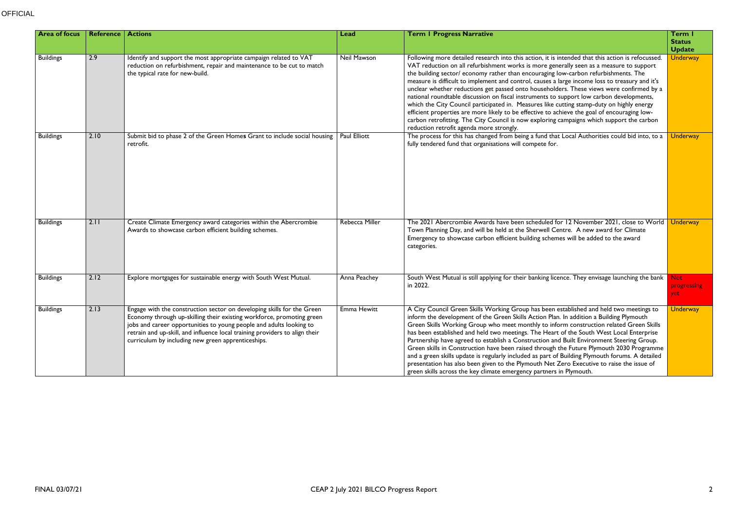| <b>Area of focus</b> | Reference | <b>Actions</b>                                                                                                                                                                                                                                                                                                                                              | Lead               | <b>Term I Progress Narrative</b>                                                                                                                                                                                                                                                                                                                                                                                                                                                                                                                                                                                                                                                                                                                                                                                                                                                                                    | Term I                         |
|----------------------|-----------|-------------------------------------------------------------------------------------------------------------------------------------------------------------------------------------------------------------------------------------------------------------------------------------------------------------------------------------------------------------|--------------------|---------------------------------------------------------------------------------------------------------------------------------------------------------------------------------------------------------------------------------------------------------------------------------------------------------------------------------------------------------------------------------------------------------------------------------------------------------------------------------------------------------------------------------------------------------------------------------------------------------------------------------------------------------------------------------------------------------------------------------------------------------------------------------------------------------------------------------------------------------------------------------------------------------------------|--------------------------------|
|                      |           |                                                                                                                                                                                                                                                                                                                                                             |                    |                                                                                                                                                                                                                                                                                                                                                                                                                                                                                                                                                                                                                                                                                                                                                                                                                                                                                                                     | <b>Status</b><br><b>Update</b> |
| <b>Buildings</b>     | 2.9       | Identify and support the most appropriate campaign related to VAT<br>reduction on refurbishment, repair and maintenance to be cut to match<br>the typical rate for new-build.                                                                                                                                                                               | Neil Mawson        | Following more detailed research into this action, it is intended that this action is refocussed.<br>VAT reduction on all refurbishment works is more generally seen as a measure to support<br>the building sector/ economy rather than encouraging low-carbon refurbishments. The<br>measure is difficult to implement and control, causes a large income loss to treasury and it's<br>unclear whether reductions get passed onto householders. These views were confirmed by a<br>national roundtable discussion on fiscal instruments to support low carbon developments,<br>which the City Council participated in. Measures like cutting stamp-duty on highly energy<br>efficient properties are more likely to be effective to achieve the goal of encouraging low-<br>carbon retrofitting. The City Council is now exploring campaigns which support the carbon<br>reduction retrofit agenda more strongly. | <b>Underway</b>                |
| <b>Buildings</b>     | 2.10      | Submit bid to phase 2 of the Green Homes Grant to include social housing<br>retrofit.                                                                                                                                                                                                                                                                       | Paul Elliott       | The process for this has changed from being a fund that Local Authorities could bid into, to a<br>fully tendered fund that organisations will compete for.                                                                                                                                                                                                                                                                                                                                                                                                                                                                                                                                                                                                                                                                                                                                                          | <b>Underway</b>                |
| <b>Buildings</b>     | 2.11      | Create Climate Emergency award categories within the Abercrombie<br>Awards to showcase carbon efficient building schemes.                                                                                                                                                                                                                                   | Rebecca Miller     | The 2021 Abercrombie Awards have been scheduled for 12 November 2021, close to World<br>Town Planning Day, and will be held at the Sherwell Centre. A new award for Climate<br>Emergency to showcase carbon efficient building schemes will be added to the award<br>categories.                                                                                                                                                                                                                                                                                                                                                                                                                                                                                                                                                                                                                                    | <b>Underway</b>                |
| <b>Buildings</b>     | 2.12      | Explore mortgages for sustainable energy with South West Mutual.                                                                                                                                                                                                                                                                                            | Anna Peachey       | South West Mutual is still applying for their banking licence. They envisage launching the bank<br>in 2022.                                                                                                                                                                                                                                                                                                                                                                                                                                                                                                                                                                                                                                                                                                                                                                                                         | Not:<br>progressing<br>yet.    |
| <b>Buildings</b>     | 2.13      | Engage with the construction sector on developing skills for the Green<br>Economy through up-skilling their existing workforce, promoting green<br>jobs and career opportunities to young people and adults looking to<br>retrain and up-skill, and influence local training providers to align their<br>curriculum by including new green apprenticeships. | <b>Emma Hewitt</b> | A City Council Green Skills Working Group has been established and held two meetings to<br>inform the development of the Green Skills Action Plan. In addition a Building Plymouth<br>Green Skills Working Group who meet monthly to inform construction related Green Skills<br>has been established and held two meetings. The Heart of the South West Local Enterprise<br>Partnership have agreed to establish a Construction and Built Environment Steering Group.<br>Green skills in Construction have been raised through the Future Plymouth 2030 Programme<br>and a green skills update is regularly included as part of Building Plymouth forums. A detailed<br>presentation has also been given to the Plymouth Net Zero Executive to raise the issue of<br>green skills across the key climate emergency partners in Plymouth.                                                                           | <b>Underway</b>                |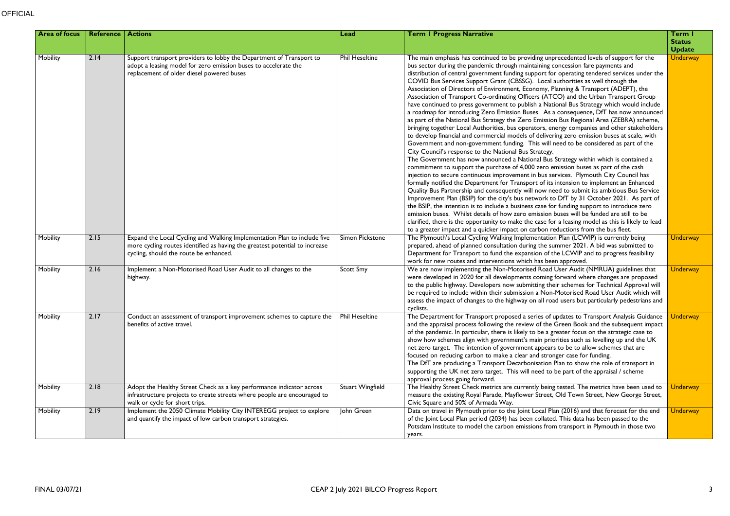| <b>Area of focus</b> | <b>Reference   Actions</b> |                                                                                                                                                                                                   | Lead                    | <b>Term I Progress Narrative</b>                                                                                                                                                                                                                                                                                                                                                                                                                                                                                                                                                                                                                                                                                                                                                                                                                                                                                                                                                                                                                                                                                                                                                                                                                                                                                                                                                                                                                                                                                                                                                                                                                                                                                                                                                                                                                                                                                                                                                                                                                                                                                                    | Term I                         |
|----------------------|----------------------------|---------------------------------------------------------------------------------------------------------------------------------------------------------------------------------------------------|-------------------------|-------------------------------------------------------------------------------------------------------------------------------------------------------------------------------------------------------------------------------------------------------------------------------------------------------------------------------------------------------------------------------------------------------------------------------------------------------------------------------------------------------------------------------------------------------------------------------------------------------------------------------------------------------------------------------------------------------------------------------------------------------------------------------------------------------------------------------------------------------------------------------------------------------------------------------------------------------------------------------------------------------------------------------------------------------------------------------------------------------------------------------------------------------------------------------------------------------------------------------------------------------------------------------------------------------------------------------------------------------------------------------------------------------------------------------------------------------------------------------------------------------------------------------------------------------------------------------------------------------------------------------------------------------------------------------------------------------------------------------------------------------------------------------------------------------------------------------------------------------------------------------------------------------------------------------------------------------------------------------------------------------------------------------------------------------------------------------------------------------------------------------------|--------------------------------|
|                      |                            |                                                                                                                                                                                                   |                         |                                                                                                                                                                                                                                                                                                                                                                                                                                                                                                                                                                                                                                                                                                                                                                                                                                                                                                                                                                                                                                                                                                                                                                                                                                                                                                                                                                                                                                                                                                                                                                                                                                                                                                                                                                                                                                                                                                                                                                                                                                                                                                                                     | <b>Status</b><br><b>Update</b> |
| Mobility             | 2.14                       | Support transport providers to lobby the Department of Transport to<br>adopt a leasing model for zero emission buses to accelerate the<br>replacement of older diesel powered buses               | <b>Phil Heseltine</b>   | The main emphasis has continued to be providing unprecedented levels of support for the<br>bus sector during the pandemic through maintaining concession fare payments and<br>distribution of central government funding support for operating tendered services under the<br>COVID Bus Services Support Grant (CBSSG). Local authorities as well through the<br>Association of Directors of Environment, Economy, Planning & Transport (ADEPT), the<br>Association of Transport Co-ordinating Officers (ATCO) and the Urban Transport Group<br>have continued to press government to publish a National Bus Strategy which would include<br>a roadmap for introducing Zero Emission Buses. As a consequence, DfT has now announced<br>as part of the National Bus Strategy the Zero Emission Bus Regional Area (ZEBRA) scheme,<br>bringing together Local Authorities, bus operators, energy companies and other stakeholders<br>to develop financial and commercial models of delivering zero emission buses at scale, with<br>Government and non-government funding. This will need to be considered as part of the<br>City Council's response to the National Bus Strategy.<br>The Government has now announced a National Bus Strategy within which is contained a<br>commitment to support the purchase of 4,000 zero emission buses as part of the cash<br>injection to secure continuous improvement in bus services. Plymouth City Council has<br>formally notified the Department for Transport of its intension to implement an Enhanced<br>Quality Bus Partnership and consequently will now need to submit its ambitious Bus Service<br>Improvement Plan (BSIP) for the city's bus network to DfT by 31 October 2021. As part of<br>the BSIP, the intention is to include a business case for funding support to introduce zero<br>emission buses. Whilst details of how zero emission buses will be funded are still to be<br>clarified, there is the opportunity to make the case for a leasing model as this is likely to lead<br>to a greater impact and a quicker impact on carbon reductions from the bus fleet. | <b>Underway</b>                |
| Mobility             | 2.15                       | Expand the Local Cycling and Walking Implementation Plan to include five<br>more cycling routes identified as having the greatest potential to increase<br>cycling, should the route be enhanced. | Simon Pickstone         | The Plymouth's Local Cycling Walking Implementation Plan (LCWIP) is currently being<br>prepared, ahead of planned consultation during the summer 2021. A bid was submitted to<br>Department for Transport to fund the expansion of the LCWIP and to progress feasibility<br>work for new routes and interventions which has been approved.                                                                                                                                                                                                                                                                                                                                                                                                                                                                                                                                                                                                                                                                                                                                                                                                                                                                                                                                                                                                                                                                                                                                                                                                                                                                                                                                                                                                                                                                                                                                                                                                                                                                                                                                                                                          | <b>Underway</b>                |
| Mobility             | 2.16                       | Implement a Non-Motorised Road User Audit to all changes to the<br>highway.                                                                                                                       | <b>Scott Smy</b>        | We are now implementing the Non-Motorised Road User Audit (NMRUA) guidelines that<br>were developed in 2020 for all developments coming forward where changes are proposed<br>to the public highway. Developers now submitting their schemes for Technical Approval will<br>be required to include within their submission a Non-Motorised Road User Audit which will<br>assess the impact of changes to the highway on all road users but particularly pedestrians and<br>cyclists.                                                                                                                                                                                                                                                                                                                                                                                                                                                                                                                                                                                                                                                                                                                                                                                                                                                                                                                                                                                                                                                                                                                                                                                                                                                                                                                                                                                                                                                                                                                                                                                                                                                | <b>Underway</b>                |
| Mobility             | 2.17                       | Conduct an assessment of transport improvement schemes to capture the<br>benefits of active travel.                                                                                               | <b>Phil Heseltine</b>   | The Department for Transport proposed a series of updates to Transport Analysis Guidance<br>and the appraisal process following the review of the Green Book and the subsequent impact<br>of the pandemic. In particular, there is likely to be a greater focus on the strategic case to<br>show how schemes align with government's main priorities such as levelling up and the UK<br>net zero target. The intention of government appears to be to allow schemes that are<br>focused on reducing carbon to make a clear and stronger case for funding.<br>The DfT are producing a Transport Decarbonisation Plan to show the role of transport in<br>supporting the UK net zero target. This will need to be part of the appraisal / scheme<br>approval process going forward.                                                                                                                                                                                                                                                                                                                                                                                                                                                                                                                                                                                                                                                                                                                                                                                                                                                                                                                                                                                                                                                                                                                                                                                                                                                                                                                                                   | <b>Underway</b>                |
| Mobility             | 2.18                       | Adopt the Healthy Street Check as a key performance indicator across<br>infrastructure projects to create streets where people are encouraged to<br>walk or cycle for short trips.                | <b>Stuart Wingfield</b> | The Healthy Street Check metrics are currently being tested. The metrics have been used to<br>measure the existing Royal Parade, Mayflower Street, Old Town Street, New George Street,<br>Civic Square and 50% of Armada Way.                                                                                                                                                                                                                                                                                                                                                                                                                                                                                                                                                                                                                                                                                                                                                                                                                                                                                                                                                                                                                                                                                                                                                                                                                                                                                                                                                                                                                                                                                                                                                                                                                                                                                                                                                                                                                                                                                                       | <b>Underway</b>                |
| Mobility             | 2.19                       | Implement the 2050 Climate Mobility City INTEREGG project to explore<br>and quantify the impact of low carbon transport strategies.                                                               | John Green              | Data on travel in Plymouth prior to the Joint Local Plan (2016) and that forecast for the end<br>of the Joint Local Plan period (2034) has been collated. This data has been passed to the<br>Potsdam Institute to model the carbon emissions from transport in Plymouth in those two<br>years.                                                                                                                                                                                                                                                                                                                                                                                                                                                                                                                                                                                                                                                                                                                                                                                                                                                                                                                                                                                                                                                                                                                                                                                                                                                                                                                                                                                                                                                                                                                                                                                                                                                                                                                                                                                                                                     | <b>Underway</b>                |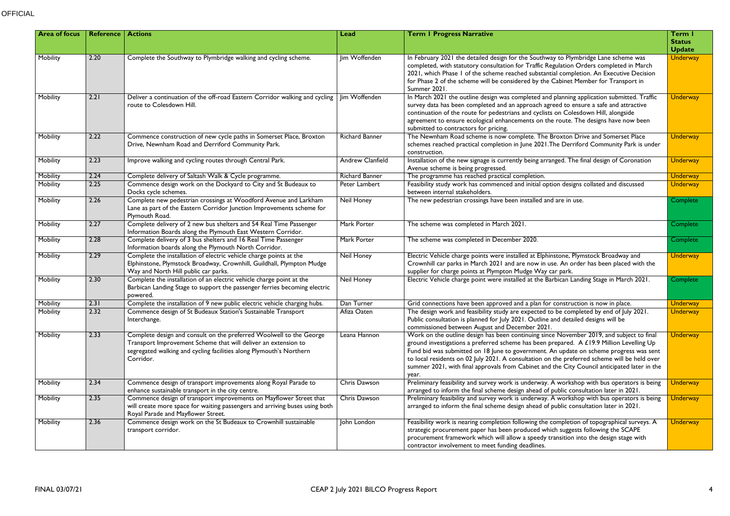| <b>Area of focus</b> | <b>Reference   Actions</b> |                                                                                                                                                                                                                           | Lead                  | <b>Term I Progress Narrative</b>                                                                                                                                                                                                                                                                                                                                                                                                                                                        | Term I<br><b>Status</b><br><b>Update</b> |
|----------------------|----------------------------|---------------------------------------------------------------------------------------------------------------------------------------------------------------------------------------------------------------------------|-----------------------|-----------------------------------------------------------------------------------------------------------------------------------------------------------------------------------------------------------------------------------------------------------------------------------------------------------------------------------------------------------------------------------------------------------------------------------------------------------------------------------------|------------------------------------------|
| Mobility             | 2.20                       | Complete the Southway to Plymbridge walking and cycling scheme.                                                                                                                                                           | Jim Woffenden         | In February 2021 the detailed design for the Southway to Plymbridge Lane scheme was<br>completed, with statutory consultation for Traffic Regulation Orders completed in March<br>2021, which Phase 1 of the scheme reached substantial completion. An Executive Decision<br>for Phase 2 of the scheme will be considered by the Cabinet Member for Transport in<br>Summer 2021                                                                                                         | <b>Underway</b>                          |
| Mobility             | 2.21                       | Deliver a continuation of the off-road Eastern Corridor walking and cycling<br>route to Colesdown Hill.                                                                                                                   | <b>lim Woffenden</b>  | In March 2021 the outline design was completed and planning application submitted. Traffic<br>survey data has been completed and an approach agreed to ensure a safe and attractive<br>continuation of the route for pedestrians and cyclists on Colesdown Hill, alongside<br>agreement to ensure ecological enhancements on the route. The designs have now been<br>submitted to contractors for pricing.                                                                              | <b>Underway</b>                          |
| Mobility             | 2.22                       | Commence construction of new cycle paths in Somerset Place, Broxton<br>Drive, Newnham Road and Derriford Community Park.                                                                                                  | <b>Richard Banner</b> | The Newnham Road scheme is now complete. The Broxton Drive and Somerset Place<br>schemes reached practical completion in June 2021. The Derriford Community Park is under<br>construction.                                                                                                                                                                                                                                                                                              | <b>Underway</b>                          |
| Mobility             | 2.23                       | Improve walking and cycling routes through Central Park.                                                                                                                                                                  | Andrew Clanfield      | Installation of the new signage is currently being arranged. The final design of Coronation<br>Avenue scheme is being progressed.                                                                                                                                                                                                                                                                                                                                                       | <b>Underway</b>                          |
| Mobility             | 2.24                       | Complete delivery of Saltash Walk & Cycle programme.                                                                                                                                                                      | <b>Richard Banner</b> | The programme has reached practical completion.                                                                                                                                                                                                                                                                                                                                                                                                                                         | <b>Underway</b>                          |
| Mobility             | 2.25                       | Commence design work on the Dockyard to City and St Budeaux to<br>Docks cycle schemes.                                                                                                                                    | Peter Lambert         | Feasibility study work has commenced and initial option designs collated and discussed<br>between internal stakeholders.                                                                                                                                                                                                                                                                                                                                                                | <b>Underway</b>                          |
| Mobility             | 2.26                       | Complete new pedestrian crossings at Woodford Avenue and Larkham<br>Lane as part of the Eastern Corridor Junction Improvements scheme for<br>Plymouth Road.                                                               | <b>Neil Honey</b>     | The new pedestrian crossings have been installed and are in use.                                                                                                                                                                                                                                                                                                                                                                                                                        | Complete                                 |
| Mobility             | 2.27                       | Complete delivery of 2 new bus shelters and 54 Real Time Passenger<br>Information Boards along the Plymouth East Western Corridor.                                                                                        | Mark Porter           | The scheme was completed in March 2021.                                                                                                                                                                                                                                                                                                                                                                                                                                                 | <b>Complete</b>                          |
| Mobility             | 2.28                       | Complete delivery of 3 bus shelters and 16 Real Time Passenger<br>Information boards along the Plymouth North Corridor.                                                                                                   | Mark Porter           | The scheme was completed in December 2020.                                                                                                                                                                                                                                                                                                                                                                                                                                              | <b>Complete</b>                          |
| Mobility             | 2.29                       | Complete the installation of electric vehicle charge points at the<br>Elphinstone, Plymstock Broadway, Crownhill, Guildhall, Plympton Mudge<br>Way and North Hill public car parks.                                       | Neil Honey            | Electric Vehicle charge points were installed at Elphinstone, Plymstock Broadway and<br>Crownhill car parks in March 2021 and are now in use. An order has been placed with the<br>supplier for charge points at Plympton Mudge Way car park.                                                                                                                                                                                                                                           | <b>Underway</b>                          |
| Mobility             | 2.30                       | Complete the installation of an electric vehicle charge point at the<br>Barbican Landing Stage to support the passenger ferries becoming electric<br>powered.                                                             | <b>Neil Honey</b>     | Electric Vehicle charge point were installed at the Barbican Landing Stage in March 2021.                                                                                                                                                                                                                                                                                                                                                                                               | Complete                                 |
| Mobility             | 2.31                       | Complete the installation of 9 new public electric vehicle charging hubs.                                                                                                                                                 | Dan Turner            | Grid connections have been approved and a plan for construction is now in place.                                                                                                                                                                                                                                                                                                                                                                                                        | <b>Underway</b>                          |
| Mobility             | 2.32                       | Commence design of St Budeaux Station's Sustainable Transport<br>Interchange.                                                                                                                                             | Afiza Oaten           | The design work and feasibility study are expected to be completed by end of July 2021.<br>Public consultation is planned for July 2021. Outline and detailed designs will be<br>commissioned between August and December 2021.                                                                                                                                                                                                                                                         | <b>Underway</b>                          |
| Mobility             | 2.33                       | Complete design and consult on the preferred Woolwell to the George<br>Transport Improvement Scheme that will deliver an extension to<br>segregated walking and cycling facilities along Plymouth's Northern<br>Corridor. | Leana Hannon          | Work on the outline design has been continuing since November 2019, and subject to final<br>ground investigations a preferred scheme has been prepared. A £19.9 Million Levelling Up<br>Fund bid was submitted on 18 June to government. An update on scheme progress was sent<br>to local residents on 02 July 2021. A consultation on the preferred scheme will be held over<br>summer 2021, with final approvals from Cabinet and the City Council anticipated later in the<br>year. | <b>Underway</b>                          |
| Mobility             | 2.34                       | Commence design of transport improvements along Royal Parade to<br>enhance sustainable transport in the city centre.                                                                                                      | Chris Dawson          | Preliminary feasibility and survey work is underway. A workshop with bus operators is being<br>arranged to inform the final scheme design ahead of public consultation later in 2021.                                                                                                                                                                                                                                                                                                   | <b>Underway</b>                          |
| Mobility             | 2.35                       | Commence design of transport improvements on Mayflower Street that<br>will create more space for waiting passengers and arriving buses using both<br>Royal Parade and Mayflower Street.                                   | Chris Dawson          | Preliminary feasibility and survey work is underway. A workshop with bus operators is being<br>arranged to inform the final scheme design ahead of public consultation later in 2021.                                                                                                                                                                                                                                                                                                   | <b>Underway</b>                          |
| Mobility             | 2.36                       | Commence design work on the St Budeaux to Crownhill sustainable<br>transport corridor.                                                                                                                                    | John London           | Feasibility work is nearing completion following the completion of topographical surveys. A<br>strategic procurement paper has been produced which suggests following the SCAPE<br>procurement framework which will allow a speedy transition into the design stage with<br>contractor involvement to meet funding deadlines.                                                                                                                                                           | <b>Underway</b>                          |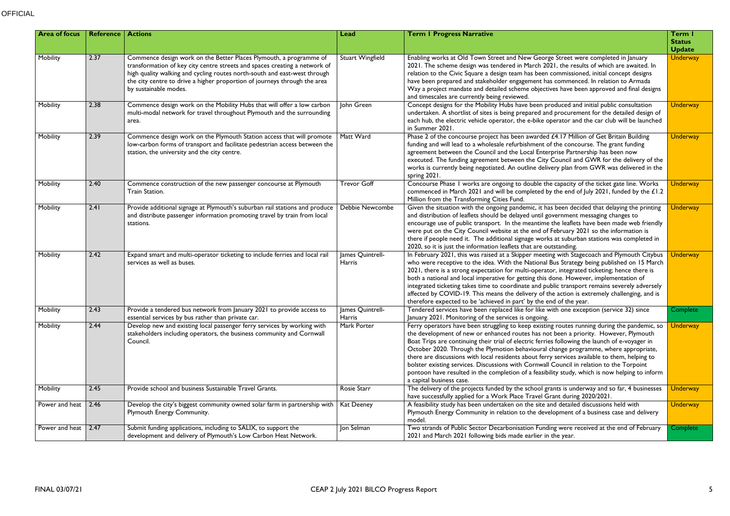| <b>Area of focus</b> | <b>Reference   Actions</b> |                                                                                                                                                                                                                                                                                                                                     | Lead                       | <b>Term I Progress Narrative</b>                                                                                                                                                                                                                                                                                                                                                                                                                                                                                                                                                                                                                                                                          | Term I<br><b>Status</b><br><b>Update</b> |
|----------------------|----------------------------|-------------------------------------------------------------------------------------------------------------------------------------------------------------------------------------------------------------------------------------------------------------------------------------------------------------------------------------|----------------------------|-----------------------------------------------------------------------------------------------------------------------------------------------------------------------------------------------------------------------------------------------------------------------------------------------------------------------------------------------------------------------------------------------------------------------------------------------------------------------------------------------------------------------------------------------------------------------------------------------------------------------------------------------------------------------------------------------------------|------------------------------------------|
| Mobility             | 2.37                       | Commence design work on the Better Places Plymouth, a programme of<br>transformation of key city centre streets and spaces creating a network of<br>high quality walking and cycling routes north-south and east-west through<br>the city centre to drive a higher proportion of journeys through the area<br>by sustainable modes. | <b>Stuart Wingfield</b>    | Enabling works at Old Town Street and New George Street were completed in January<br>2021. The scheme design was tendered in March 2021, the results of which are awaited. In<br>relation to the Civic Square a design team has been commissioned, initial concept designs<br>have been prepared and stakeholder engagement has commenced. In relation to Armada<br>Way a project mandate and detailed scheme objectives have been approved and final designs<br>and timescales are currently being reviewed.                                                                                                                                                                                             | <b>Underway</b>                          |
| Mobility             | 2.38                       | Commence design work on the Mobility Hubs that will offer a low carbon<br>multi-modal network for travel throughout Plymouth and the surrounding<br>area.                                                                                                                                                                           | John Green                 | Concept designs for the Mobility Hubs have been produced and initial public consultation<br>undertaken. A shortlist of sites is being prepared and procurement for the detailed design of<br>each hub, the electric vehicle operator, the e-bike operator and the car club will be launched<br>in Summer 2021.                                                                                                                                                                                                                                                                                                                                                                                            | <b>Underway</b>                          |
| Mobility             | 2.39                       | Commence design work on the Plymouth Station access that will promote<br>low-carbon forms of transport and facilitate pedestrian access between the<br>station, the university and the city centre.                                                                                                                                 | Matt Ward                  | Phase 2 of the concourse project has been awarded £4.17 Million of Get Britain Building<br>funding and will lead to a wholesale refurbishment of the concourse. The grant funding<br>agreement between the Council and the Local Enterprise Partnership has been now<br>executed. The funding agreement between the City Council and GWR for the delivery of the<br>works is currently being negotiated. An outline delivery plan from GWR was delivered in the<br>spring 2021.                                                                                                                                                                                                                           | <b>Underway</b>                          |
| Mobility             | 2.40                       | Commence construction of the new passenger concourse at Plymouth<br>Train Station.                                                                                                                                                                                                                                                  | <b>Trevor Goff</b>         | Concourse Phase I works are ongoing to double the capacity of the ticket gate line. Works<br>commenced in March 2021 and will be completed by the end of July 2021, funded by the £1.2<br>Million from the Transforming Cities Fund.                                                                                                                                                                                                                                                                                                                                                                                                                                                                      | <b>Underway</b>                          |
| Mobility             | 2.41                       | Provide additional signage at Plymouth's suburban rail stations and produce<br>and distribute passenger information promoting travel by train from local<br>stations.                                                                                                                                                               | Debbie Newcombe            | Given the situation with the ongoing pandemic, it has been decided that delaying the printing<br>and distribution of leaflets should be delayed until government messaging changes to<br>encourage use of public transport. In the meantime the leaflets have been made web friendly<br>were put on the City Council website at the end of February 2021 so the information is<br>there if people need it. The additional signage works at suburban stations was completed in<br>2020, so it is just the information leaflets that are outstanding.                                                                                                                                                       | <b>Underway</b>                          |
| Mobility             | 2.42                       | Expand smart and multi-operator ticketing to include ferries and local rail<br>services as well as buses.                                                                                                                                                                                                                           | James Quintrell-<br>Harris | In February 2021, this was raised at a Skipper meeting with Stagecoach and Plymouth Citybus<br>who were receptive to the idea. With the National Bus Strategy being published on 15 March<br>2021, there is a strong expectation for multi-operator, integrated ticketing; hence there is<br>both a national and local imperative for getting this done. However, implementation of<br>integrated ticketing takes time to coordinate and public transport remains severely adversely<br>affected by COVID-19. This means the delivery of the action is extremely challenging, and is<br>therefore expected to be 'achieved in part' by the end of the year.                                               | <b>Jnderway</b>                          |
| Mobility             | 2.43                       | Provide a tendered bus network from January 2021 to provide access to<br>essential services by bus rather than private car.                                                                                                                                                                                                         | James Quintrell-<br>Harris | Tendered services have been replaced like for like with one exception (service 32) since<br>January 2021. Monitoring of the services is ongoing.                                                                                                                                                                                                                                                                                                                                                                                                                                                                                                                                                          | Complete                                 |
| Mobility             | 2.44                       | Develop new and existing local passenger ferry services by working with<br>stakeholders including operators, the business community and Cornwall<br>Council.                                                                                                                                                                        | Mark Porter                | Ferry operators have been struggling to keep existing routes running during the pandemic, so<br>the development of new or enhanced routes has not been a priority. However, Plymouth<br>Boat Trips are continuing their trial of electric ferries following the launch of e-voyager in<br>October 2020. Through the Plymotion behavioural change programme, where appropriate,<br>there are discussions with local residents about ferry services available to them, helping to<br>bolster existing services. Discussions with Cornwall Council in relation to the Torpoint<br>pontoon have resulted in the completion of a feasibility study, which is now helping to inform<br>a capital business case. | <b>Underway</b>                          |
| Mobility             | 2.45                       | Provide school and business Sustainable Travel Grants.                                                                                                                                                                                                                                                                              | Rosie Starr                | The delivery of the projects funded by the school grants is underway and so far, 4 businesses<br>have successfully applied for a Work Place Travel Grant during 2020/2021.                                                                                                                                                                                                                                                                                                                                                                                                                                                                                                                                | <b>Underway</b>                          |
| Power and heat       | 2.46                       | Develop the city's biggest community owned solar farm in partnership with  <br>Plymouth Energy Community.                                                                                                                                                                                                                           | <b>Kat Deeney</b>          | A feasibility study has been undertaken on the site and detailed discussions held with<br>Plymouth Energy Community in relation to the development of a business case and delivery<br>model.                                                                                                                                                                                                                                                                                                                                                                                                                                                                                                              | <b>Underway</b>                          |
| Power and heat       | 2.47                       | Submit funding applications, including to SALIX, to support the<br>development and delivery of Plymouth's Low Carbon Heat Network.                                                                                                                                                                                                  | Jon Selman                 | Two strands of Public Sector Decarbonisation Funding were received at the end of February<br>2021 and March 2021 following bids made earlier in the year.                                                                                                                                                                                                                                                                                                                                                                                                                                                                                                                                                 | <b>Complete</b>                          |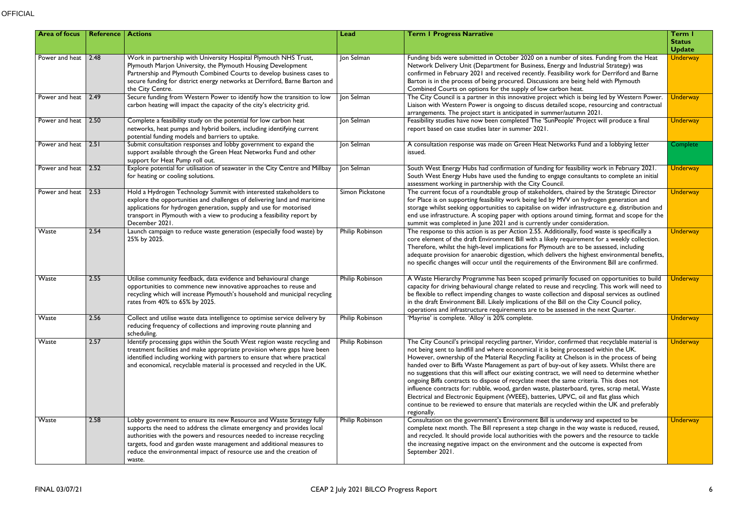## **OFFICIAL**

| <b>Area of focus</b> | Reference          | <b>Actions</b>                                                                                                                                                                                                                                                                                                                                                                   | <b>Lead</b>            | <b>Term I Progress Narrative</b>                                                                                                                                                                                                                                                                                                                                                                                                                                                                                                                                                                                                                                                                                                                                                                                                                                                  | Term I<br><b>Status</b><br><b>Update</b> |
|----------------------|--------------------|----------------------------------------------------------------------------------------------------------------------------------------------------------------------------------------------------------------------------------------------------------------------------------------------------------------------------------------------------------------------------------|------------------------|-----------------------------------------------------------------------------------------------------------------------------------------------------------------------------------------------------------------------------------------------------------------------------------------------------------------------------------------------------------------------------------------------------------------------------------------------------------------------------------------------------------------------------------------------------------------------------------------------------------------------------------------------------------------------------------------------------------------------------------------------------------------------------------------------------------------------------------------------------------------------------------|------------------------------------------|
| Power and heat 2.48  |                    | Work in partnership with University Hospital Plymouth NHS Trust,<br>Plymouth Marjon University, the Plymouth Housing Development<br>Partnership and Plymouth Combined Courts to develop business cases to<br>secure funding for district energy networks at Derriford, Barne Barton and<br>the City Centre.                                                                      | Jon Selman             | Funding bids were submitted in October 2020 on a number of sites. Funding from the Heat<br>Network Delivery Unit (Department for Business, Energy and Industrial Strategy) was<br>confirmed in February 2021 and received recently. Feasibility work for Derriford and Barne<br>Barton is in the process of being procured. Discussions are being held with Plymouth<br>Combined Courts on options for the supply of low carbon heat.                                                                                                                                                                                                                                                                                                                                                                                                                                             | <b>Underway</b>                          |
| Power and heat       | $\vert 2.49 \vert$ | Secure funding from Western Power to identify how the transition to low<br>carbon heating will impact the capacity of the city's electricity grid.                                                                                                                                                                                                                               | <b>Jon Selman</b>      | The City Council is a partner in this innovative project which is being led by Western Power.<br>Liaison with Western Power is ongoing to discuss detailed scope, resourcing and contractual<br>arrangements. The project start is anticipated in summer/autumn 2021.                                                                                                                                                                                                                                                                                                                                                                                                                                                                                                                                                                                                             | <b>Underway</b>                          |
| Power and heat       | 2.50               | Complete a feasibility study on the potential for low carbon heat<br>networks, heat pumps and hybrid boilers, including identifying current<br>potential funding models and barriers to uptake.                                                                                                                                                                                  | Jon Selman             | Feasibility studies have now been completed The 'SunPeople' Project will produce a final<br>report based on case studies later in summer 2021.                                                                                                                                                                                                                                                                                                                                                                                                                                                                                                                                                                                                                                                                                                                                    | <b>Underway</b>                          |
| Power and heat       |                    | Submit consultation responses and lobby government to expand the<br>support available through the Green Heat Networks Fund and other<br>support for Heat Pump roll out.                                                                                                                                                                                                          | Jon Selman             | A consultation response was made on Green Heat Networks Fund and a lobbying letter<br>issued.                                                                                                                                                                                                                                                                                                                                                                                                                                                                                                                                                                                                                                                                                                                                                                                     | Complete                                 |
| Power and heat       | 2.52               | Explore potential for utilisation of seawater in the City Centre and Millbay<br>for heating or cooling solutions.                                                                                                                                                                                                                                                                | Jon Selman             | South West Energy Hubs had confirmation of funding for feasibility work in February 2021.<br>South West Energy Hubs have used the funding to engage consultants to complete an initial<br>assessment working in partnership with the City Council.                                                                                                                                                                                                                                                                                                                                                                                                                                                                                                                                                                                                                                | <b>Underway</b>                          |
| Power and heat       | 2.53               | Hold a Hydrogen Technology Summit with interested stakeholders to<br>explore the opportunities and challenges of delivering land and maritime<br>applications for hydrogen generation, supply and use for motorised<br>transport in Plymouth with a view to producing a feasibility report by<br>December 2021.                                                                  | Simon Pickstone        | The current focus of a roundtable group of stakeholders, chaired by the Strategic Director<br>for Place is on supporting feasibility work being led by MVV on hydrogen generation and<br>storage whilst seeking opportunities to capitalise on wider infrastructure e.g. distribution and<br>end use infrastructure. A scoping paper with options around timing, format and scope for the<br>summit was completed in June 2021 and is currently under consideration.                                                                                                                                                                                                                                                                                                                                                                                                              | <b>Underway</b>                          |
| Waste                | 2.54               | Launch campaign to reduce waste generation (especially food waste) by<br>25% by 2025.                                                                                                                                                                                                                                                                                            | <b>Philip Robinson</b> | The response to this action is as per Action 2.55. Additionally, food waste is specifically a<br>core element of the draft Environment Bill with a likely requirement for a weekly collection.<br>Therefore, whilst the high-level implications for Plymouth are to be assessed, including<br>adequate provision for anaerobic digestion, which delivers the highest environmental benefits,<br>no specific changes will occur until the requirements of the Environment Bill are confirmed.                                                                                                                                                                                                                                                                                                                                                                                      | <b>Underway</b>                          |
| Waste                | 2.55               | Utilise community feedback, data evidence and behavioural change<br>opportunities to commence new innovative approaches to reuse and<br>recycling which will increase Plymouth's household and municipal recycling<br>rates from 40% to 65% by 2025.                                                                                                                             | Philip Robinson        | A Waste Hierarchy Programme has been scoped primarily focused on opportunities to build<br>capacity for driving behavioural change related to reuse and recycling. This work will need to<br>be flexible to reflect impending changes to waste collection and disposal services as outlined<br>in the draft Environment Bill. Likely implications of the Bill on the City Council policy,<br>operations and infrastructure requirements are to be assessed in the next Quarter.                                                                                                                                                                                                                                                                                                                                                                                                   | <b>Underway</b>                          |
| Waste                | 2.56               | Collect and utilise waste data intelligence to optimise service delivery by<br>reducing frequency of collections and improving route planning and<br>scheduling.                                                                                                                                                                                                                 | Philip Robinson        | 'Mayrise' is complete. 'Alloy' is 20% complete.                                                                                                                                                                                                                                                                                                                                                                                                                                                                                                                                                                                                                                                                                                                                                                                                                                   | <b>Underway</b>                          |
| Waste                | 2.57               | Identify processing gaps within the South West region waste recycling and<br>treatment facilities and make appropriate provision where gaps have been<br>identified including working with partners to ensure that where practical<br>and economical, recyclable material is processed and recycled in the UK.                                                                   | <b>Philip Robinson</b> | The City Council's principal recycling partner, Viridor, confirmed that recyclable material is<br>not being sent to landfill and where economical it is being processed within the UK.<br>However, ownership of the Material Recycling Facility at Chelson is in the process of being<br>handed over to Biffa Waste Management as part of buy-out of key assets. Whilst there are<br>no suggestions that this will affect our existing contract, we will need to determine whether<br>ongoing Biffa contracts to dispose of recyclate meet the same criteria. This does not<br>influence contracts for: rubble, wood, garden waste, plasterboard, tyres, scrap metal, Waste<br>Electrical and Electronic Equipment (WEEE), batteries, UPVC, oil and flat glass which<br>continue to be reviewed to ensure that materials are recycled within the UK and preferably<br>regionally. | <b>Underway</b>                          |
| Waste                | 2.58               | Lobby government to ensure its new Resource and Waste Strategy fully<br>supports the need to address the climate emergency and provides local<br>authorities with the powers and resources needed to increase recycling<br>targets, food and garden waste management and additional measures to<br>reduce the environmental impact of resource use and the creation of<br>waste. | <b>Philip Robinson</b> | Consultation on the government's Environment Bill is underway and expected to be<br>complete next month. The Bill represent a step change in the way waste is reduced, reused,<br>and recycled. It should provide local authorities with the powers and the resource to tackle<br>the increasing negative impact on the environment and the outcome is expected from<br>September 2021.                                                                                                                                                                                                                                                                                                                                                                                                                                                                                           | <b>Underway</b>                          |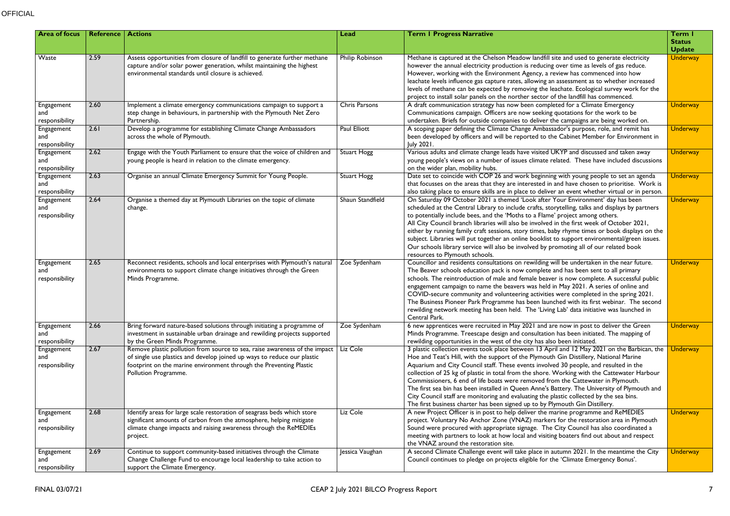| <b>Area of focus</b>                | Reference | <b>Actions</b>                                                                                                                                                                                                                                      | Lead                | <b>Term I Progress Narrative</b>                                                                                                                                                                                                                                                                                                                                                                                                                                                                                                                                                                                                                                                                                                             | Term I<br><b>Status</b><br><b>Update</b> |
|-------------------------------------|-----------|-----------------------------------------------------------------------------------------------------------------------------------------------------------------------------------------------------------------------------------------------------|---------------------|----------------------------------------------------------------------------------------------------------------------------------------------------------------------------------------------------------------------------------------------------------------------------------------------------------------------------------------------------------------------------------------------------------------------------------------------------------------------------------------------------------------------------------------------------------------------------------------------------------------------------------------------------------------------------------------------------------------------------------------------|------------------------------------------|
| Waste                               | 2.59      | Assess opportunities from closure of landfill to generate further methane<br>capture and/or solar power generation, whilst maintaining the highest<br>environmental standards until closure is achieved.                                            | Philip Robinson     | Methane is captured at the Chelson Meadow landfill site and used to generate electricity<br>however the annual electricity production is reducing over time as levels of gas reduce.<br>However, working with the Environment Agency, a review has commenced into how<br>leachate levels influence gas capture rates, allowing an assessment as to whether increased<br>levels of methane can be expected by removing the leachate. Ecological survey work for the<br>project to install solar panels on the norther sector of the landfill has commenced.                                                                                                                                                                                   | <b>Underway</b>                          |
| Engagement<br>and<br>responsibility | 2.60      | Implement a climate emergency communications campaign to support a<br>step change in behaviours, in partnership with the Plymouth Net Zero<br>Partnership.                                                                                          | Chris Parsons       | A draft communication strategy has now been completed for a Climate Emergency<br>Communications campaign. Officers are now seeking quotations for the work to be<br>undertaken. Briefs for outside companies to deliver the campaigns are being worked on.                                                                                                                                                                                                                                                                                                                                                                                                                                                                                   | <b>Underway</b>                          |
| Engagement<br>and<br>responsibility | 2.61      | Develop a programme for establishing Climate Change Ambassadors<br>across the whole of Plymouth.                                                                                                                                                    | <b>Paul Elliott</b> | A scoping paper defining the Climate Change Ambassador's purpose, role, and remit has<br>been developed by officers and will be reported to the Cabinet Member for Environment in<br>July 2021.                                                                                                                                                                                                                                                                                                                                                                                                                                                                                                                                              | <b>Underway</b>                          |
| Engagement<br>and<br>responsibility | 2.62      | Engage with the Youth Parliament to ensure that the voice of children and<br>young people is heard in relation to the climate emergency.                                                                                                            | <b>Stuart Hogg</b>  | Various adults and climate change leads have visited UKYP and discussed and taken away<br>young people's views on a number of issues climate related. These have included discussions<br>on the wider plan, mobility hubs.                                                                                                                                                                                                                                                                                                                                                                                                                                                                                                                   | <b>Underway</b>                          |
| Engagement<br>and<br>responsibility | 2.63      | Organise an annual Climate Emergency Summit for Young People.                                                                                                                                                                                       | <b>Stuart Hogg</b>  | Date set to coincide with COP 26 and work beginning with young people to set an agenda<br>that focusses on the areas that they are interested in and have chosen to prioritise. Work is<br>also taking place to ensure skills are in place to deliver an event whether virtual or in person.                                                                                                                                                                                                                                                                                                                                                                                                                                                 | <b>Underway</b>                          |
| Engagement<br>and<br>responsibility | 2.64      | Organise a themed day at Plymouth Libraries on the topic of climate<br>change.                                                                                                                                                                      | Shaun Standfield    | On Saturday 09 October 2021 a themed 'Look after Your Environment' day has been<br>scheduled at the Central Library to include crafts, storytelling, talks and displays by partners<br>to potentially include bees, and the 'Moths to a Flame' project among others.<br>All City Council branch libraries will also be involved in the first week of October 2021,<br>either by running family craft sessions, story times, baby rhyme times or book displays on the<br>subject. Libraries will put together an online booklist to support environmental/green issues.<br>Our schools library service will also be involved by promoting all of our related book<br>resources to Plymouth schools.                                           | <b>Underway</b>                          |
| Engagement<br>and<br>responsibility | 2.65      | Reconnect residents, schools and local enterprises with Plymouth's natural<br>environments to support climate change initiatives through the Green<br>Minds Programme.                                                                              | Zoe Sydenham        | Councillor and residents consultations on rewilding will be undertaken in the near future.<br>The Beaver schools education pack is now complete and has been sent to all primary<br>schools. The reintroduction of male and female beaver is now complete. A successful public<br>engagement campaign to name the beavers was held in May 2021. A series of online and<br>COVID-secure community and volunteering activities were completed in the spring 2021.<br>The Business Pioneer Park Programme has been launched with its first webinar. The second<br>rewilding network meeting has been held. The 'Living Lab' data initiative was launched in<br>Central Park.                                                                    | <b>Underway</b>                          |
| Engagement<br>and<br>responsibility | 2.66      | Bring forward nature-based solutions through initiating a programme of<br>investment in sustainable urban drainage and rewilding projects supported<br>by the Green Minds Programme.                                                                | Zoe Sydenham        | 6 new apprentices were recruited in May 2021 and are now in post to deliver the Green<br>Minds Programme. Treescape design and consultation has been initiated. The mapping of<br>rewilding opportunities in the west of the city has also been initiated.                                                                                                                                                                                                                                                                                                                                                                                                                                                                                   | <b>Underway</b>                          |
| Engagement<br>and<br>responsibility | 2.67      | Remove plastic pollution from source to sea, raise awareness of the impact<br>of single use plastics and develop joined up ways to reduce our plastic<br>footprint on the marine environment through the Preventing Plastic<br>Pollution Programme. | Liz Cole            | 3 plastic collection events took place between 13 April and 12 May 2021 on the Barbican, the<br>Hoe and Teat's Hill, with the support of the Plymouth Gin Distillery, National Marine<br>Aquarium and City Council staff. These events involved 30 people, and resulted in the<br>collection of 25 kg of plastic in total from the shore. Working with the Cattewater Harbour<br>Commissioners, 6 end of life boats were removed from the Cattewater in Plymouth.<br>The first sea bin has been installed in Queen Anne's Battery. The University of Plymouth and<br>City Council staff are monitoring and evaluating the plastic collected by the sea bins.<br>The first business charter has been signed up to by Plymouth Gin Distillery. | <b>Underway</b>                          |
| Engagement<br>and<br>responsibility | 2.68      | Identify areas for large scale restoration of seagrass beds which store<br>significant amounts of carbon from the atmosphere, helping mitigate<br>climate change impacts and raising awareness through the ReMEDIEs<br>project.                     | Liz Cole            | A new Project Officer is in post to help deliver the marine programme and ReMEDIES<br>project. Voluntary No Anchor Zone (VNAZ) markers for the restoration area in Plymouth<br>Sound were procured with appropriate signage. The City Council has also coordinated a<br>meeting with partners to look at how local and visiting boaters find out about and respect<br>the VNAZ around the restoration site.                                                                                                                                                                                                                                                                                                                                  | <b>Underway</b>                          |
| Engagement<br>and<br>responsibility | 2.69      | Continue to support community-based initiatives through the Climate<br>Change Challenge Fund to encourage local leadership to take action to<br>support the Climate Emergency.                                                                      | Jessica Vaughan     | A second Climate Challenge event will take place in autumn 2021. In the meantime the City<br>Council continues to pledge on projects eligible for the 'Climate Emergency Bonus'.                                                                                                                                                                                                                                                                                                                                                                                                                                                                                                                                                             | <b>Underway</b>                          |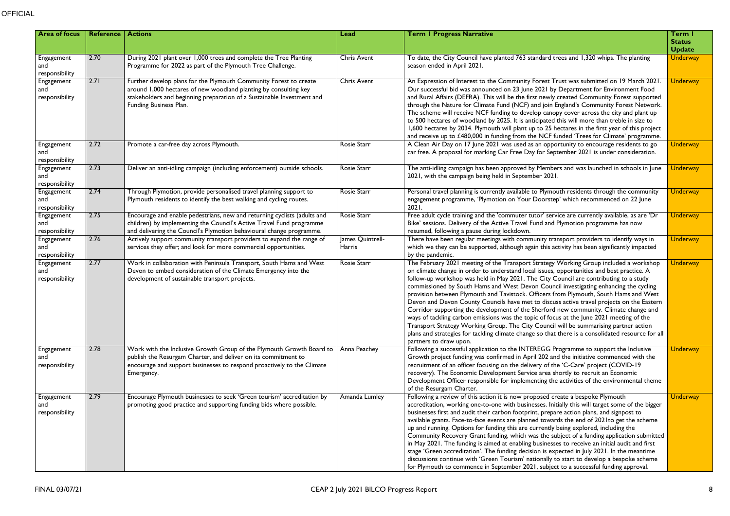| <b>Area of focus</b>                | <b>Reference   Actions</b> |                                                                                                                                                                                                                                               | Lead                       | <b>Term I Progress Narrative</b>                                                                                                                                                                                                                                                                                                                                                                                                                                                                                                                                                                                                                                                                                                                                                                                                                                                                                                                                        | Term I<br><b>Status</b><br><b>Update</b> |
|-------------------------------------|----------------------------|-----------------------------------------------------------------------------------------------------------------------------------------------------------------------------------------------------------------------------------------------|----------------------------|-------------------------------------------------------------------------------------------------------------------------------------------------------------------------------------------------------------------------------------------------------------------------------------------------------------------------------------------------------------------------------------------------------------------------------------------------------------------------------------------------------------------------------------------------------------------------------------------------------------------------------------------------------------------------------------------------------------------------------------------------------------------------------------------------------------------------------------------------------------------------------------------------------------------------------------------------------------------------|------------------------------------------|
| Engagement<br>and<br>responsibility | 2.70                       | During 2021 plant over 1,000 trees and complete the Tree Planting<br>Programme for 2022 as part of the Plymouth Tree Challenge.                                                                                                               | <b>Chris Avent</b>         | To date, the City Council have planted 763 standard trees and 1,320 whips. The planting<br>season ended in April 2021.                                                                                                                                                                                                                                                                                                                                                                                                                                                                                                                                                                                                                                                                                                                                                                                                                                                  | <b>Underway</b>                          |
| Engagement<br>and<br>responsibility | 2.71                       | Further develop plans for the Plymouth Community Forest to create<br>around 1,000 hectares of new woodland planting by consulting key<br>stakeholders and beginning preparation of a Sustainable Investment and<br>Funding Business Plan.     | <b>Chris Avent</b>         | An Expression of Interest to the Community Forest Trust was submitted on 19 March 2021.<br>Our successful bid was announced on 23 June 2021 by Department for Environment Food<br>and Rural Affairs (DEFRA). This will be the first newly created Community Forest supported<br>through the Nature for Climate Fund (NCF) and join England's Community Forest Network.<br>The scheme will receive NCF funding to develop canopy cover across the city and plant up<br>to 500 hectares of woodland by 2025. It is anticipated this will more than treble in size to<br>1,600 hectares by 2034. Plymouth will plant up to 25 hectares in the first year of this project<br>and receive up to £480,000 in funding from the NCF funded 'Trees for Climate' programme.                                                                                                                                                                                                       | <b>Underway</b>                          |
| Engagement<br>and<br>responsibility | 2.72                       | Promote a car-free day across Plymouth.                                                                                                                                                                                                       | Rosie Starr                | A Clean Air Day on 17 June 2021 was used as an opportunity to encourage residents to go<br>car free. A proposal for marking Car Free Day for September 2021 is under consideration.                                                                                                                                                                                                                                                                                                                                                                                                                                                                                                                                                                                                                                                                                                                                                                                     | <b>Underway</b>                          |
| Engagement<br>and<br>responsibility | 2.73                       | Deliver an anti-idling campaign (including enforcement) outside schools.                                                                                                                                                                      | Rosie Starr                | The anti-idling campaign has been approved by Members and was launched in schools in June<br>2021, with the campaign being held in September 2021.                                                                                                                                                                                                                                                                                                                                                                                                                                                                                                                                                                                                                                                                                                                                                                                                                      | <b>Underway</b>                          |
| Engagement<br>and<br>responsibility | 2.74                       | Through Plymotion, provide personalised travel planning support to<br>Plymouth residents to identify the best walking and cycling routes.                                                                                                     | Rosie Starr                | Personal travel planning is currently available to Plymouth residents through the community<br>engagement programme, 'Plymotion on Your Doorstep' which recommenced on 22 June<br>2021                                                                                                                                                                                                                                                                                                                                                                                                                                                                                                                                                                                                                                                                                                                                                                                  | <b>Underway</b>                          |
| Engagement<br>and<br>responsibility | 2.75                       | Encourage and enable pedestrians, new and returning cyclists (adults and<br>children) by implementing the Council's Active Travel Fund programme<br>and delivering the Council's Plymotion behavioural change programme.                      | Rosie Starr                | Free adult cycle training and the 'commuter tutor' service are currently available, as are 'Dr<br>Bike' sessions. Delivery of the Active Travel Fund and Plymotion programme has now<br>resumed, following a pause during lockdown.                                                                                                                                                                                                                                                                                                                                                                                                                                                                                                                                                                                                                                                                                                                                     | <b>Underway</b>                          |
| Engagement<br>and<br>responsibility | 2.76                       | Actively support community transport providers to expand the range of<br>services they offer; and look for more commercial opportunities.                                                                                                     | James Quintrell-<br>Harris | There have been regular meetings with community transport providers to identify ways in<br>which we they can be supported, although again this activity has been significantly impacted<br>by the pandemic.                                                                                                                                                                                                                                                                                                                                                                                                                                                                                                                                                                                                                                                                                                                                                             | <b>Underway</b>                          |
| Engagement<br>and<br>responsibility | 2.77                       | Work in collaboration with Peninsula Transport, South Hams and West<br>Devon to embed consideration of the Climate Emergency into the<br>development of sustainable transport projects.                                                       | Rosie Starr                | The February 2021 meeting of the Transport Strategy Working Group included a workshop<br>on climate change in order to understand local issues, opportunities and best practice. A<br>follow-up workshop was held in May 2021. The City Council are contributing to a study<br>commissioned by South Hams and West Devon Council investigating enhancing the cycling<br>provision between Plymouth and Tavistock. Officers from Plymouth, South Hams and West<br>Devon and Devon County Councils have met to discuss active travel projects on the Eastern<br>Corridor supporting the development of the Sherford new community. Climate change and<br>ways of tackling carbon emissions was the topic of focus at the June 2021 meeting of the<br>Transport Strategy Working Group. The City Council will be summarising partner action<br>plans and strategies for tackling climate change so that there is a consolidated resource for all<br>partners to draw upon. | <b>Underway</b>                          |
| Engagement<br>and<br>responsibility | 2.78                       | Work with the Inclusive Growth Group of the Plymouth Growth Board to   Anna Peachey<br>publish the Resurgam Charter, and deliver on its commitment to<br>encourage and support businesses to respond proactively to the Climate<br>Emergency. |                            | Following a successful application to the INTEREGG Programme to support the Inclusive<br>Growth project funding was confirmed in April 202 and the initiative commenced with the<br>recruitment of an officer focusing on the delivery of the 'C-Care' project (COVID-19<br>recovery). The Economic Development Service area shortly to recruit an Economic<br>Development Officer responsible for implementing the activities of the environmental theme<br>of the Resurgam Charter.                                                                                                                                                                                                                                                                                                                                                                                                                                                                                   | <b>Underway</b>                          |
| Engagement<br>and<br>responsibility | 2.79                       | Encourage Plymouth businesses to seek 'Green tourism' accreditation by<br>promoting good practice and supporting funding bids where possible.                                                                                                 | Amanda Lumley              | Following a review of this action it is now proposed create a bespoke Plymouth<br>accreditation, working one-to-one with businesses. Initially this will target some of the bigger<br>businesses first and audit their carbon footprint, prepare action plans, and signpost to<br>available grants. Face-to-face events are planned towards the end of 2021 to get the scheme<br>up and running. Options for funding this are currently being explored, including the<br>Community Recovery Grant funding, which was the subject of a funding application submitted<br>in May 2021. The funding is aimed at enabling businesses to receive an initial audit and first<br>stage 'Green accreditation'. The funding decision is expected in July 2021. In the meantime<br>discussions continue with 'Green Tourism' nationally to start to develop a bespoke scheme<br>for Plymouth to commence in September 2021, subject to a successful funding approval.              | <b>Underway</b>                          |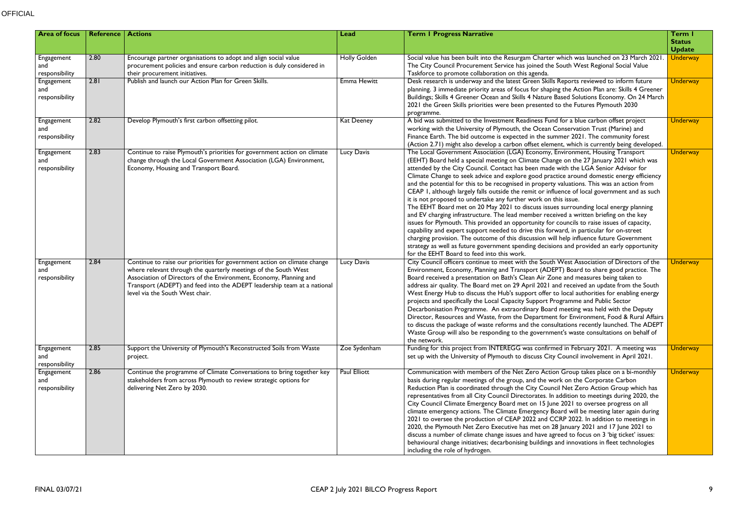| <b>Area of focus</b>                | Reference $ $ | <b>Actions</b>                                                                                                                                                                                                                                                                                                                  | Lead                | <b>Term I Progress Narrative</b>                                                                                                                                                                                                                                                                                                                                                                                                                                                                                                                                                                                                                                                                                                                                                                                                                                                                                                                                                                                                                                                                                                                                                                                                                     | Term I<br><b>Status</b><br><b>Update</b> |
|-------------------------------------|---------------|---------------------------------------------------------------------------------------------------------------------------------------------------------------------------------------------------------------------------------------------------------------------------------------------------------------------------------|---------------------|------------------------------------------------------------------------------------------------------------------------------------------------------------------------------------------------------------------------------------------------------------------------------------------------------------------------------------------------------------------------------------------------------------------------------------------------------------------------------------------------------------------------------------------------------------------------------------------------------------------------------------------------------------------------------------------------------------------------------------------------------------------------------------------------------------------------------------------------------------------------------------------------------------------------------------------------------------------------------------------------------------------------------------------------------------------------------------------------------------------------------------------------------------------------------------------------------------------------------------------------------|------------------------------------------|
| Engagement<br>and<br>responsibility | 2.80          | Encourage partner organisations to adopt and align social value<br>procurement policies and ensure carbon reduction is duly considered in<br>their procurement initiatives.                                                                                                                                                     | <b>Holly Golden</b> | Social value has been built into the Resurgam Charter which was launched on 23 March 2021<br>The City Council Procurement Service has joined the South West Regional Social Value<br>Taskforce to promote collaboration on this agenda.                                                                                                                                                                                                                                                                                                                                                                                                                                                                                                                                                                                                                                                                                                                                                                                                                                                                                                                                                                                                              | <b>Underway</b>                          |
| Engagement<br>and<br>responsibility | 2.81          | Publish and launch our Action Plan for Green Skills.                                                                                                                                                                                                                                                                            | Emma Hewitt         | Desk research is underway and the latest Green Skills Reports reviewed to inform future<br>planning. 3 immediate priority areas of focus for shaping the Action Plan are: Skills 4 Greener<br>Buildings; Skills 4 Greener Ocean and Skills 4 Nature Based Solutions Economy. On 24 March<br>2021 the Green Skills priorities were been presented to the Futures Plymouth 2030<br>programme.                                                                                                                                                                                                                                                                                                                                                                                                                                                                                                                                                                                                                                                                                                                                                                                                                                                          | <b>Underway</b>                          |
| Engagement<br>and<br>responsibility | 2.82          | Develop Plymouth's first carbon offsetting pilot.                                                                                                                                                                                                                                                                               | Kat Deeney          | A bid was submitted to the Investment Readiness Fund for a blue carbon offset project<br>working with the University of Plymouth, the Ocean Conservation Trust (Marine) and<br>Finance Earth. The bid outcome is expected in the summer 2021. The community forest<br>(Action 2.71) might also develop a carbon offset element, which is currently being developed.                                                                                                                                                                                                                                                                                                                                                                                                                                                                                                                                                                                                                                                                                                                                                                                                                                                                                  | <b>Underway</b>                          |
| Engagement<br>and<br>responsibility | 2.83          | Continue to raise Plymouth's priorities for government action on climate<br>change through the Local Government Association (LGA) Environment,<br>Economy, Housing and Transport Board.                                                                                                                                         | Lucy Davis          | The Local Government Association (LGA) Economy, Environment, Housing Transport<br>(EEHT) Board held a special meeting on Climate Change on the 27 January 2021 which was<br>attended by the City Council. Contact has been made with the LGA Senior Advisor for<br>Climate Change to seek advice and explore good practice around domestic energy efficiency<br>and the potential for this to be recognised in property valuations. This was an action from<br>CEAP I, although largely falls outside the remit or influence of local government and as such<br>it is not proposed to undertake any further work on this issue.<br>The EEHT Board met on 20 May 2021 to discuss issues surrounding local energy planning<br>and EV charging infrastructure. The lead member received a written briefing on the key<br>issues for Plymouth. This provided an opportunity for councils to raise issues of capacity,<br>capability and expert support needed to drive this forward, in particular for on-street<br>charging provision. The outcome of this discussion will help influence future Government<br>strategy as well as future government spending decisions and provided an early opportunity<br>for the EEHT Board to feed into this work. | <b>Underway</b>                          |
| Engagement<br>and<br>responsibility | 2.84          | Continue to raise our priorities for government action on climate change<br>where relevant through the quarterly meetings of the South West<br>Association of Directors of the Environment, Economy, Planning and<br>Transport (ADEPT) and feed into the ADEPT leadership team at a national<br>level via the South West chair. | Lucy Davis          | City Council officers continue to meet with the South West Association of Directors of the<br>Environment, Economy, Planning and Transport (ADEPT) Board to share good practice. The<br>Board received a presentation on Bath's Clean Air Zone and measures being taken to<br>address air quality. The Board met on 29 April 2021 and received an update from the South<br>West Energy Hub to discuss the Hub's support offer to local authorities for enabling energy<br>projects and specifically the Local Capacity Support Programme and Public Sector<br>Decarbonisation Programme. An extraordinary Board meeting was held with the Deputy<br>Director, Resources and Waste, from the Department for Environment, Food & Rural Affairs<br>to discuss the package of waste reforms and the consultations recently launched. The ADEPT<br>Waste Group will also be responding to the government's waste consultations on behalf of<br>the network.                                                                                                                                                                                                                                                                                               | <b>Underway</b>                          |
| Engagement<br>and<br>responsibility | 2.85          | Support the University of Plymouth's Reconstructed Soils from Waste<br>project.                                                                                                                                                                                                                                                 | Zoe Sydenham        | Funding for this project from INTEREGG was confirmed in February 2021. A meeting was<br>set up with the University of Plymouth to discuss City Council involvement in April 2021.                                                                                                                                                                                                                                                                                                                                                                                                                                                                                                                                                                                                                                                                                                                                                                                                                                                                                                                                                                                                                                                                    | <b>Underway</b>                          |
| Engagement<br>and<br>responsibility | 2.86          | Continue the programme of Climate Conversations to bring together key<br>stakeholders from across Plymouth to review strategic options for<br>delivering Net Zero by 2030.                                                                                                                                                      | Paul Elliott        | Communication with members of the Net Zero Action Group takes place on a bi-monthly<br>basis during regular meetings of the group, and the work on the Corporate Carbon<br>Reduction Plan is coordinated through the City Council Net Zero Action Group which has<br>representatives from all City Council Directorates. In addition to meetings during 2020, the<br>City Council Climate Emergency Board met on 15 June 2021 to oversee progress on all<br>climate emergency actions. The Climate Emergency Board will be meeting later again during<br>2021 to oversee the production of CEAP 2022 and CCRP 2022. In addition to meetings in<br>2020, the Plymouth Net Zero Executive has met on 28 January 2021 and 17 June 2021 to<br>discuss a number of climate change issues and have agreed to focus on 3 'big ticket' issues:<br>behavioural change initiatives; decarbonising buildings and innovations in fleet technologies<br>including the role of hydrogen.                                                                                                                                                                                                                                                                           | <b>Underway</b>                          |